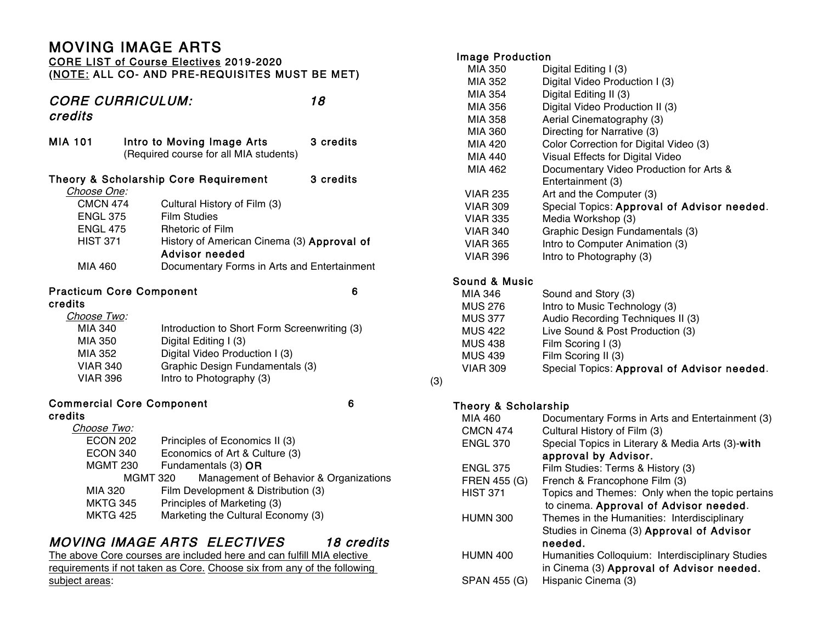# MOVING IMAGE ARTS

### CORE LIST of Course Electives 2019-2020 (NOTE: ALL CO- AND PRE-REQUISITES MUST BE MET)

# CORE CURRICULUM: 18 credits

| MIA 101         | Intro to Moving Image Arts<br>(Required course for all MIA students) | 3 credits |
|-----------------|----------------------------------------------------------------------|-----------|
|                 | Theory & Scholarship Core Requirement                                | 3 credits |
| Choose One:     |                                                                      |           |
| <b>CMCN 474</b> | Cultural History of Film (3)                                         |           |
| <b>ENGL 375</b> | Film Studies                                                         |           |
| <b>ENGL 475</b> | <b>Rhetoric of Film</b>                                              |           |
| <b>HIST 371</b> | History of American Cinema (3) Approval of<br>Advisor needed         |           |
| MIA 460         | Documentary Forms in Arts and Entertainment                          |           |
|                 | <b>Practicum Core Component</b>                                      | 6         |
| credits         |                                                                      |           |
| Choose Two:     |                                                                      |           |
| MIA 340         | Introduction to Short Form Screenwriting (3)                         |           |

#### MIA 350 Digital Editing I (3) MIA 352 Digital Video Production I (3) VIAR 340 Graphic Design Fundamentals (3) VIAR 396 Intro to Photography (3)

#### Commercial Core Component 6 credits

#### Choose Two: ECON 202 Principles of Economics II (3) ECON 340 Economics of Art & Culture (3) MGMT 230 Fundamentals (3) OR MGMT 320 Management of Behavior & Organizations MIA 320 Film Development & Distribution (3) MKTG 345 Principles of Marketing (3) MKTG 425 Marketing the Cultural Economy (3)

# MOVING IMAGE ARTS ELECTIVES 18 credits

The above Core courses are included here and can fulfill MIA elective requirements if not taken as Core. Choose six from any of the following subject areas:

## Image Production

| MIA 350         | Digital Editing I (3)                       |
|-----------------|---------------------------------------------|
| MIA 352         | Digital Video Production I (3)              |
| MIA 354         | Digital Editing II (3)                      |
| MIA 356         | Digital Video Production II (3)             |
| MIA 358         | Aerial Cinematography (3)                   |
| MIA 360         | Directing for Narrative (3)                 |
| MIA 420         | Color Correction for Digital Video (3)      |
| MIA 440         | Visual Effects for Digital Video            |
| MIA 462         | Documentary Video Production for Arts &     |
|                 | Entertainment (3)                           |
| <b>VIAR 235</b> | Art and the Computer (3)                    |
| <b>VIAR 309</b> | Special Topics: Approval of Advisor needed. |
| <b>VIAR 335</b> | Media Workshop (3)                          |
| <b>VIAR 340</b> | Graphic Design Fundamentals (3)             |
| <b>VIAR 365</b> | Intro to Computer Animation (3)             |
| <b>VIAR 396</b> | Intro to Photography (3)                    |
|                 |                                             |

# Sound & Music

(3)

|     | MIA 346         | Sound and Story (3)                         |
|-----|-----------------|---------------------------------------------|
|     | <b>MUS 276</b>  | Intro to Music Technology (3)               |
|     | <b>MUS 377</b>  | Audio Recording Techniques II (3)           |
|     | <b>MUS 422</b>  | Live Sound & Post Production (3)            |
|     | <b>MUS 438</b>  | Film Scoring I (3)                          |
|     | <b>MUS 439</b>  | Film Scoring II (3)                         |
|     | <b>VIAR 309</b> | Special Topics: Approval of Advisor needed. |
| (0) |                 |                                             |

## Theory & Scholarship

| MIA 460         | Documentary Forms in Arts and Entertainment (3)  |
|-----------------|--------------------------------------------------|
| <b>CMCN 474</b> | Cultural History of Film (3)                     |
| <b>ENGL 370</b> | Special Topics in Literary & Media Arts (3)-with |
|                 | approval by Advisor.                             |
| <b>ENGL 375</b> | Film Studies: Terms & History (3)                |
| FREN 455 (G)    | French & Francophone Film (3)                    |
| <b>HIST 371</b> | Topics and Themes: Only when the topic pertains  |
|                 | to cinema. Approval of Advisor needed.           |
| <b>HUMN 300</b> | Themes in the Humanities: Interdisciplinary      |
|                 | Studies in Cinema (3) Approval of Advisor        |
|                 | needed.                                          |
| <b>HUMN 400</b> | Humanities Colloquium: Interdisciplinary Studies |
|                 | in Cinema (3) Approval of Advisor needed.        |
| SPAN 455 (G)    | Hispanic Cinema (3)                              |
|                 |                                                  |